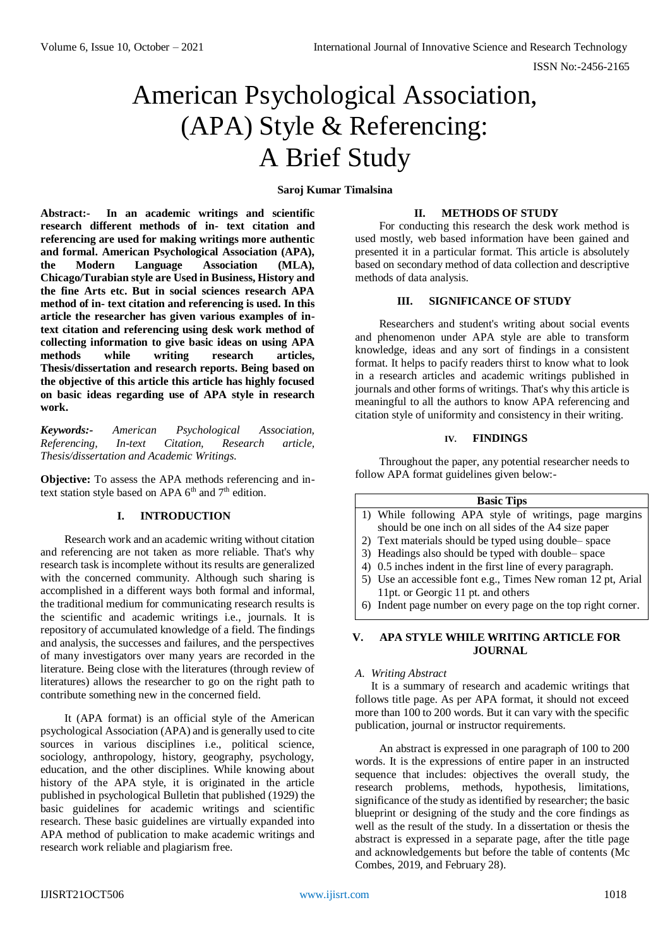# American Psychological Association, (APA) Style & Referencing: A Brief Study

# **Saroj Kumar Timalsina**

**Abstract:- In an academic writings and scientific research different methods of in- text citation and referencing are used for making writings more authentic and formal. American Psychological Association (APA), the Modern Language Association (MLA), Chicago/Turabian style are Used in Business, History and the fine Arts etc. But in social sciences research APA method of in- text citation and referencing is used. In this article the researcher has given various examples of intext citation and referencing using desk work method of collecting information to give basic ideas on using APA methods while writing research articles, Thesis/dissertation and research reports. Being based on the objective of this article this article has highly focused on basic ideas regarding use of APA style in research work.**

*Keywords:- American Psychological Association, Referencing, In-text Citation, Research article, Thesis/dissertation and Academic Writings.* 

**Objective:** To assess the APA methods referencing and intext station style based on APA  $6<sup>th</sup>$  and  $7<sup>th</sup>$  edition.

# **I. INTRODUCTION**

Research work and an academic writing without citation and referencing are not taken as more reliable. That's why research task is incomplete without its results are generalized with the concerned community. Although such sharing is accomplished in a different ways both formal and informal, the traditional medium for communicating research results is the scientific and academic writings i.e., journals. It is repository of accumulated knowledge of a field. The findings and analysis, the successes and failures, and the perspectives of many investigators over many years are recorded in the literature. Being close with the literatures (through review of literatures) allows the researcher to go on the right path to contribute something new in the concerned field.

It (APA format) is an official style of the American psychological Association (APA) and is generally used to cite sources in various disciplines i.e., political science, sociology, anthropology, history, geography, psychology, education, and the other disciplines. While knowing about history of the APA style, it is originated in the article published in psychological Bulletin that published (1929) the basic guidelines for academic writings and scientific research. These basic guidelines are virtually expanded into APA method of publication to make academic writings and research work reliable and plagiarism free.

# **II. METHODS OF STUDY**

For conducting this research the desk work method is used mostly, web based information have been gained and presented it in a particular format. This article is absolutely based on secondary method of data collection and descriptive methods of data analysis.

# **III. SIGNIFICANCE OF STUDY**

Researchers and student's writing about social events and phenomenon under APA style are able to transform knowledge, ideas and any sort of findings in a consistent format. It helps to pacify readers thirst to know what to look in a research articles and academic writings published in journals and other forms of writings. That's why this article is meaningful to all the authors to know APA referencing and citation style of uniformity and consistency in their writing.

## **IV. FINDINGS**

Throughout the paper, any potential researcher needs to follow APA format guidelines given below:-

## **Basic Tips**

- 1) While following APA style of writings, page margins should be one inch on all sides of the A4 size paper
- 2) Text materials should be typed using double– space
- 3) Headings also should be typed with double– space
- 4) 0.5 inches indent in the first line of every paragraph.
- 5) Use an accessible font e.g., Times New roman 12 pt, Arial 11pt. or Georgic 11 pt. and others
- 6) Indent page number on every page on the top right corner.

## **V. APA STYLE WHILE WRITING ARTICLE FOR JOURNAL**

## *A. Writing Abstract*

It is a summary of research and academic writings that follows title page. As per APA format, it should not exceed more than 100 to 200 words. But it can vary with the specific publication, journal or instructor requirements.

An abstract is expressed in one paragraph of 100 to 200 words. It is the expressions of entire paper in an instructed sequence that includes: objectives the overall study, the research problems, methods, hypothesis, limitations, significance of the study as identified by researcher; the basic blueprint or designing of the study and the core findings as well as the result of the study. In a dissertation or thesis the abstract is expressed in a separate page, after the title page and acknowledgements but before the table of contents (Mc Combes, 2019, and February 28).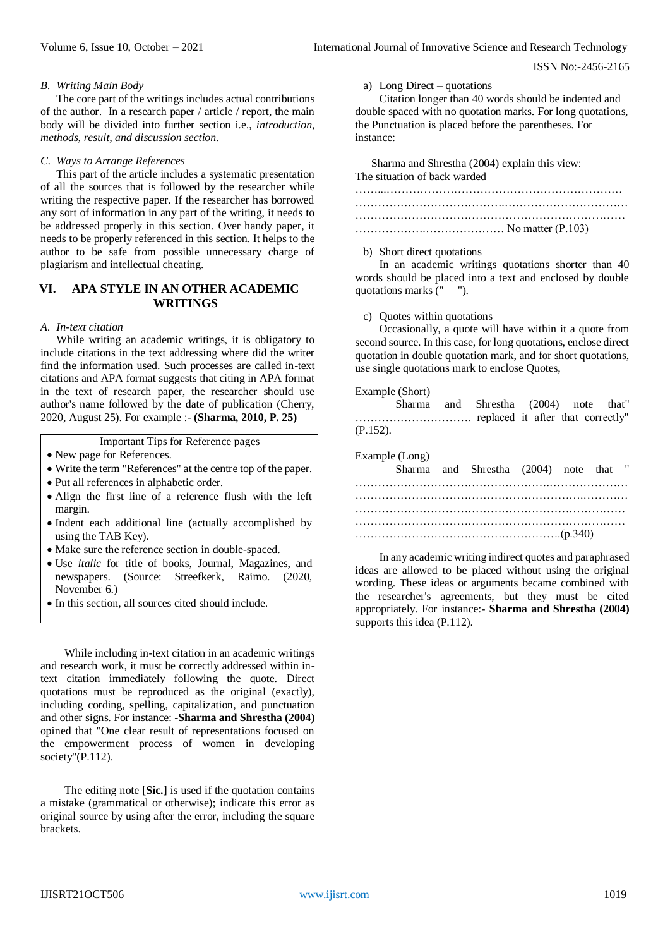### *B. Writing Main Body*

The core part of the writings includes actual contributions of the author. In a research paper / article / report, the main body will be divided into further section i.e., *introduction, methods, result, and discussion section.*

### *C. Ways to Arrange References*

This part of the article includes a systematic presentation of all the sources that is followed by the researcher while writing the respective paper. If the researcher has borrowed any sort of information in any part of the writing, it needs to be addressed properly in this section. Over handy paper, it needs to be properly referenced in this section. It helps to the author to be safe from possible unnecessary charge of plagiarism and intellectual cheating.

# **VI. APA STYLE IN AN OTHER ACADEMIC WRITINGS**

#### *A. In-text citation*

While writing an academic writings, it is obligatory to include citations in the text addressing where did the writer find the information used. Such processes are called in-text citations and APA format suggests that citing in APA format in the text of research paper, the researcher should use author's name followed by the date of publication (Cherry, 2020, August 25). For example :- **(Sharma, 2010, P. 25)**

Important Tips for Reference pages

- New page for References.
- Write the term "References" at the centre top of the paper.
- Put all references in alphabetic order.
- Align the first line of a reference flush with the left margin.
- Indent each additional line (actually accomplished by using the TAB Key).
- Make sure the reference section in double-spaced.
- Use *italic* for title of books, Journal, Magazines, and newspapers. (Source: Streefkerk, Raimo. (2020, November 6.)
- In this section, all sources cited should include.

While including in-text citation in an academic writings and research work, it must be correctly addressed within intext citation immediately following the quote. Direct quotations must be reproduced as the original (exactly), including cording, spelling, capitalization, and punctuation and other signs. For instance: -**Sharma and Shrestha (2004)** opined that "One clear result of representations focused on the empowerment process of women in developing society"(P.112).

The editing note [**Sic.]** is used if the quotation contains a mistake (grammatical or otherwise); indicate this error as original source by using after the error, including the square brackets.

a) Long Direct – quotations

Citation longer than 40 words should be indented and double spaced with no quotation marks. For long quotations, the Punctuation is placed before the parentheses. For instance:

Sharma and Shrestha (2004) explain this view: The situation of back warded

#### b) Short direct quotations

In an academic writings quotations shorter than 40 words should be placed into a text and enclosed by double quotations marks (" ").

## c) Quotes within quotations

Occasionally, a quote will have within it a quote from second source. In this case, for long quotations, enclose direct quotation in double quotation mark, and for short quotations, use single quotations mark to enclose Quotes,

#### Example (Short)

|             | Sharma and Shrestha (2004) note that" |  |  |  |
|-------------|---------------------------------------|--|--|--|
|             |                                       |  |  |  |
| $(P.152)$ . |                                       |  |  |  |

| Example (Long) | Sharma and Shrestha (2004) note that " |  |  |
|----------------|----------------------------------------|--|--|
|                |                                        |  |  |
|                |                                        |  |  |
|                |                                        |  |  |
|                |                                        |  |  |
|                |                                        |  |  |

In any academic writing indirect quotes and paraphrased ideas are allowed to be placed without using the original wording. These ideas or arguments became combined with the researcher's agreements, but they must be cited appropriately. For instance:- **Sharma and Shrestha (2004)**  supports this idea (P.112).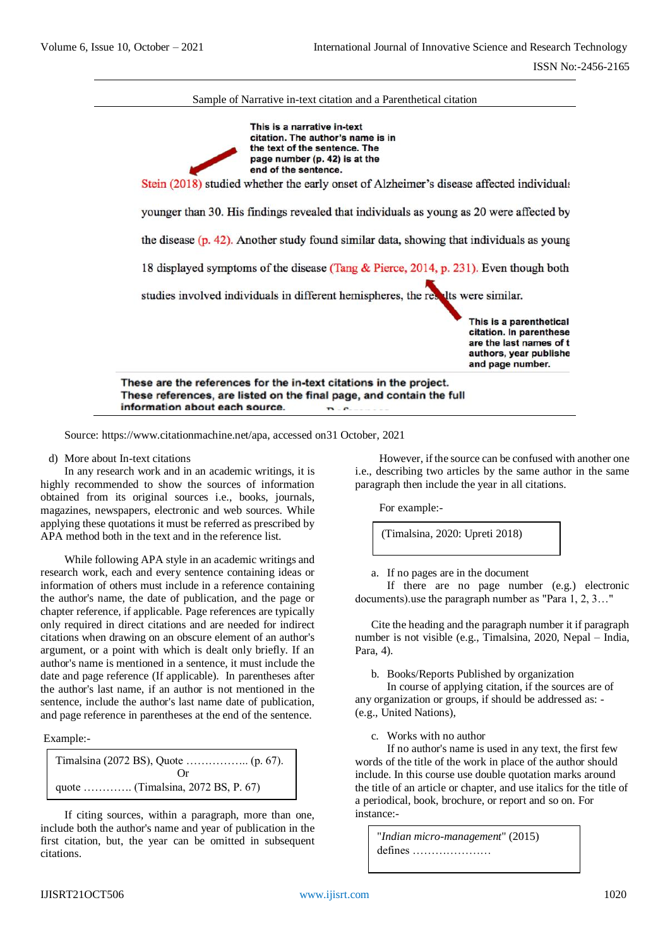

information about each source.  $R_{\text{eff}}$ 

Source: [https://www.citationmachine.net/apa,](https://www.citationmachine.net/apa) accessed on31 October, 2021

d) More about In-text citations

In any research work and in an academic writings, it is highly recommended to show the sources of information obtained from its original sources i.e., books, journals, magazines, newspapers, electronic and web sources. While applying these quotations it must be referred as prescribed by APA method both in the text and in the reference list.

While following APA style in an academic writings and research work, each and every sentence containing ideas or information of others must include in a reference containing the author's name, the date of publication, and the page or chapter reference, if applicable. Page references are typically only required in direct citations and are needed for indirect citations when drawing on an obscure element of an author's argument, or a point with which is dealt only briefly. If an author's name is mentioned in a sentence, it must include the date and page reference (If applicable). In parentheses after the author's last name, if an author is not mentioned in the sentence, include the author's last name date of publication, and page reference in parentheses at the end of the sentence.

Example:-

```
Timalsina (2072 BS), Quote …………….. (p. 67).
                       Or
quote …………. (Timalsina, 2072 BS, P. 67)
```
If citing sources, within a paragraph, more than one, include both the author's name and year of publication in the first citation, but, the year can be omitted in subsequent citations.

However, if the source can be confused with another one i.e., describing two articles by the same author in the same paragraph then include the year in all citations.

For example:-

(Timalsina, 2020: Upreti 2018)

a. If no pages are in the document

If there are no page number (e.g.) electronic documents).use the paragraph number as "Para 1, 2, 3…"

Cite the heading and the paragraph number it if paragraph number is not visible (e.g., Timalsina, 2020, Nepal – India, Para, 4).

b. Books/Reports Published by organization

In course of applying citation, if the sources are of any organization or groups, if should be addressed as: - (e.g., United Nations),

c. Works with no author

If no author's name is used in any text, the first few words of the title of the work in place of the author should include. In this course use double quotation marks around the title of an article or chapter, and use italics for the title of a periodical, book, brochure, or report and so on. For instance:-

"*Indian micro-management*" (2015) defines …………………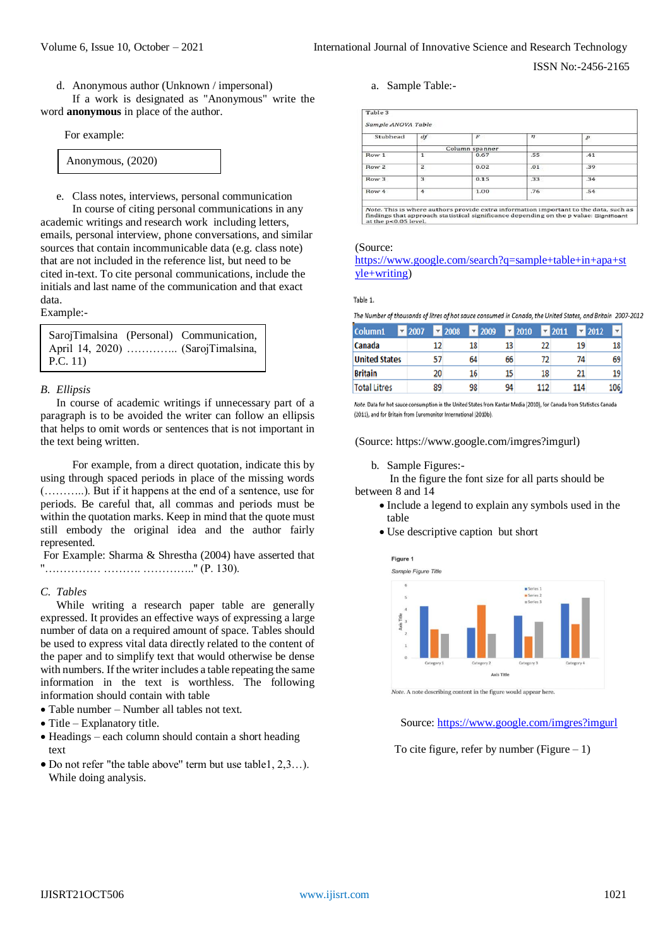d. Anonymous author (Unknown / impersonal)

If a work is designated as "Anonymous" write the word **anonymous** in place of the author.

For example:

| Anonymous, (2020) |  |
|-------------------|--|
|-------------------|--|

e. Class notes, interviews, personal communication

In course of citing personal communications in any academic writings and research work including letters, emails, personal interview, phone conversations, and similar sources that contain incommunicable data (e.g. class note) that are not included in the reference list, but need to be cited in-text. To cite personal communications, include the initials and last name of the communication and that exact data.

### Example:-

|          | SarojTimalsina (Personal) Communication, |
|----------|------------------------------------------|
|          | April 14, 2020)  (SarojTimalsina,        |
| P.C. 11) |                                          |

## *B. Ellipsis*

In course of academic writings if unnecessary part of a paragraph is to be avoided the writer can follow an ellipsis that helps to omit words or sentences that is not important in the text being written.

For example, from a direct quotation, indicate this by using through spaced periods in place of the missing words (………..). But if it happens at the end of a sentence, use for periods. Be careful that, all commas and periods must be within the quotation marks. Keep in mind that the quote must still embody the original idea and the author fairly represented.

For Example: Sharma & Shrestha (2004) have asserted that ''…………… ………. …………..'' (P. 130).

## *C. Tables*

While writing a research paper table are generally expressed. It provides an effective ways of expressing a large number of data on a required amount of space. Tables should be used to express vital data directly related to the content of the paper and to simplify text that would otherwise be dense with numbers. If the writer includes a table repeating the same information in the text is worthless. The following information should contain with table

- Table number Number all tables not text.
- $\bullet$  Title Explanatory title.
- Headings each column should contain a short heading text
- Do not refer "the table above'' term but use table1, 2,3…). While doing analysis.

a. Sample Table:-

|                  | Sample ANOVA Table |                |        |                |
|------------------|--------------------|----------------|--------|----------------|
| Stubhead         | df                 | F              | $\eta$ | $\overline{p}$ |
|                  |                    | Column spanner |        |                |
| Row 1            | $\mathbf{1}$       | 0.67           | .55    | .41            |
| Row <sub>2</sub> | $\overline{2}$     | 0.02           | .01    | .39            |
| Row <sub>3</sub> | 3                  | 0.15           | .33    | .34            |
| Row 4            | 4                  | 1.00           | .76    | .54            |

Note. This is where authors provide extra information important to the data, such a<br>findings that approach statistical significance depending on the p value: Significant<br>at the  $p<0.05$  level.

### (Source:

[https://www.google.com/search?q=sample+table+in+apa+st](https://www.google.com/search?q=sample+table+in+apa+style+writing) [yle+writing\)](https://www.google.com/search?q=sample+table+in+apa+style+writing)

## Table 1.

The Number of thousands of litres of hot sauce consumed in Canada, the United States, and Britain 2007-2012

| Column1              | $\overline{2007}$ |    | $\sqrt{2008}$ | $\overline{2}$ 2009 |    | $\overline{2010}$ |     | $-2011$ |     | $-2012$ | v   |
|----------------------|-------------------|----|---------------|---------------------|----|-------------------|-----|---------|-----|---------|-----|
| Canada               |                   | 12 | 18            |                     | 13 |                   | 22  |         | 19  |         | 18  |
| <b>United States</b> |                   |    | 64            |                     | 66 |                   | 72  |         | 74  |         | 69  |
| <b>Britain</b>       |                   | 20 | 16            |                     | 15 |                   | 18  |         | 21  |         | 19  |
| <b>Total Litres</b>  |                   | 89 | 98            |                     | 94 |                   | 112 |         | 114 |         | 106 |

Note, Data for hot sauce consumption in the United States from Kantar Media (2010), for Canada from Statistics Canada (2011), and for Britain from Euromonitor International (2010b).

(Source: https://www.google.com/imgres?imgurl)

b. Sample Figures:-

In the figure the font size for all parts should be between 8 and 14

- Include a legend to explain any symbols used in the table
- Use descriptive caption but short



Note. A note describing content in the figure would appear here

Source[: https://www.google.com/imgres?imgurl](https://www.google.com/imgres?imgurl)

To cite figure, refer by number (Figure  $-1$ )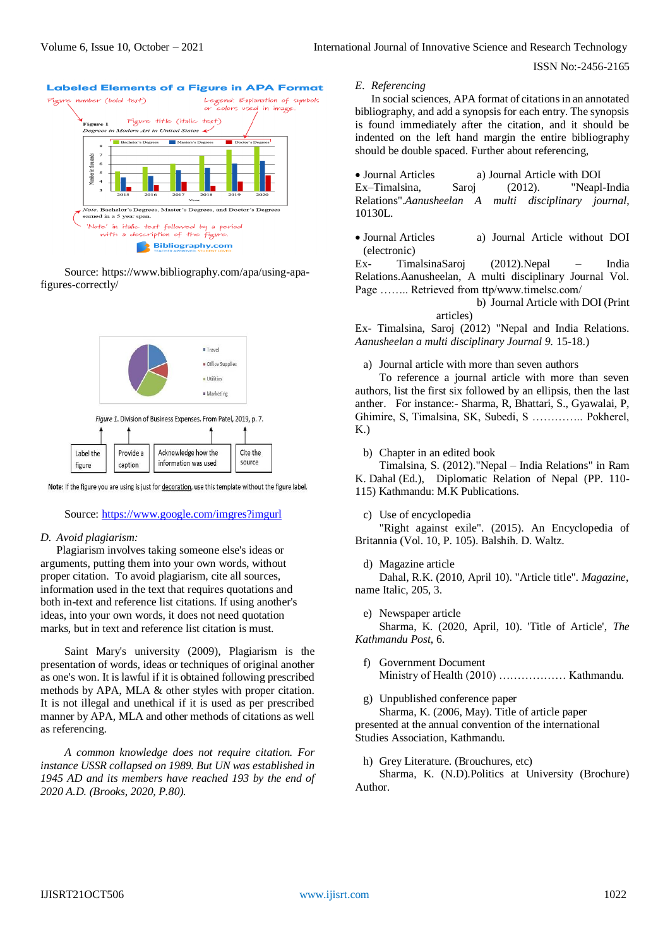

#### **Labeled Elements of a Figure in APA Format**

Source: [https://www.bibliography.com/apa/using-apa](https://www.bibliography.com/apa/using-apa-figures-correctly/)[figures-correctly/](https://www.bibliography.com/apa/using-apa-figures-correctly/)



Note: If the figure you are using is just for decoration, use this template without the figure label.

#### Source:<https://www.google.com/imgres?imgurl>

#### *D. Avoid plagiarism:*

Plagiarism involves taking someone else's ideas or arguments, putting them into your own words, without proper citation. To avoid plagiarism, cite all sources, information used in the text that requires quotations and both in-text and reference list citations. If using another's ideas, into your own words, it does not need quotation marks, but in text and reference list citation is must.

Saint Mary's university (2009), Plagiarism is the presentation of words, ideas or techniques of original another as one's won. It is lawful if it is obtained following prescribed methods by APA, MLA & other styles with proper citation. It is not illegal and unethical if it is used as per prescribed manner by APA, MLA and other methods of citations as well as referencing.

*A common knowledge does not require citation. For instance USSR collapsed on 1989. But UN was established in 1945 AD and its members have reached 193 by the end of 2020 A.D. (Brooks, 2020, P.80).*

## *E. Referencing*

In social sciences, APA format of citations in an annotated bibliography, and add a synopsis for each entry. The synopsis is found immediately after the citation, and it should be indented on the left hand margin the entire bibliography should be double spaced. Further about referencing,

 Journal Articles a) Journal Article with DOI Ex–Timalsina, Saroj (2012). "Neapl-India Relations".*Aanusheelan A multi disciplinary journal*, 10130L.

 Journal Articles a) Journal Article without DOI (electronic)

Ex- TimalsinaSaroj (2012).Nepal – India Relations.Aanusheelan, A multi disciplinary Journal Vol. Page …….. Retrieved from ttp/www.timelsc.com/

b) Journal Article with DOI (Print

articles)

Ex- Timalsina, Saroj (2012) "Nepal and India Relations. *Aanusheelan a multi disciplinary Journal 9.* 15-18.)

a) Journal article with more than seven authors

To reference a journal article with more than seven authors, list the first six followed by an ellipsis, then the last anther. For instance:- Sharma, R, Bhattari, S., Gyawalai, P, Ghimire, S, Timalsina, SK, Subedi, S ………….. Pokherel,  $K<sub>n</sub>$ )

b) Chapter in an edited book

Timalsina, S. (2012)."Nepal – India Relations" in Ram K. Dahal (Ed.), Diplomatic Relation of Nepal (PP. 110- 115) Kathmandu: M.K Publications.

c) Use of encyclopedia

"Right against exile". (2015). An Encyclopedia of Britannia (Vol. 10, P. 105). Balshih. D. Waltz.

d) Magazine article

Dahal, R.K. (2010, April 10). "Article title". *Magazine*, name Italic, 205, 3.

e) Newspaper article

Sharma, K. (2020, April, 10). 'Title of Article', *The Kathmandu Post*, 6.

- f) Government Document Ministry of Health (2010) ……………… Kathmandu.
- g) Unpublished conference paper

Sharma, K. (2006, May). Title of article paper presented at the annual convention of the international Studies Association, Kathmandu.

h) Grey Literature. (Brouchures, etc)

Sharma, K. (N.D).Politics at University (Brochure) Author.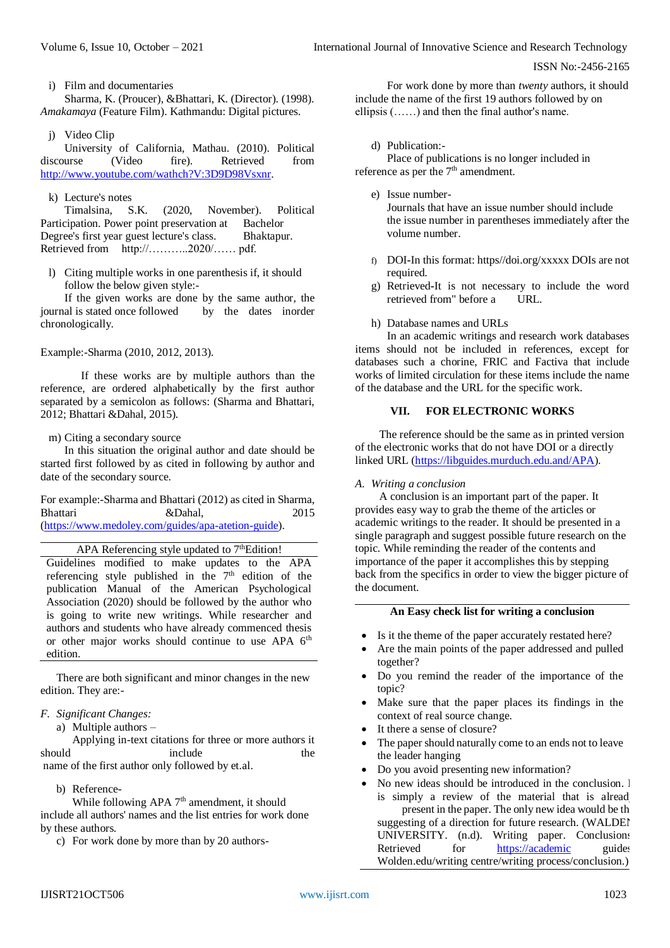i) Film and documentaries

Sharma, K. (Proucer), &Bhattari, K. (Director). (1998). *Amakamaya* (Feature Film). Kathmandu: Digital pictures.

j) Video Clip

University of California, Mathau. (2010). Political discourse (Video fire). Retrieved from [http://www.youtube.com/wathch?V:3D9D98Vsxnr.](http://www.youtube.com/wathch?V:3D9D98Vsxnr)

# k) Lecture's notes

Timalsina, S.K. (2020, November). Political Participation. Power point preservation at Bachelor Degree's first year guest lecture's class. Bhaktapur. Retrieved from http://…………2020/…… pdf.

l) Citing multiple works in one parenthesis if, it should follow the below given style:-

If the given works are done by the same author, the journal is stated once followed by the dates inorder chronologically.

# Example:-Sharma (2010, 2012, 2013).

If these works are by multiple authors than the reference, are ordered alphabetically by the first author separated by a semicolon as follows: (Sharma and Bhattari, 2012; Bhattari &Dahal, 2015).

## m) Citing a secondary source

In this situation the original author and date should be started first followed by as cited in following by author and date of the secondary source.

For example:-Sharma and Bhattari (2012) as cited in Sharma, Bhattari &Dahal, 2015 [\(https://www.medoley.com/guides/apa-atetion-guide\)](https://www.medoley.com/guides/apa-atetion-guide).

# APA Referencing style updated to 7<sup>th</sup>Edition!

Guidelines modified to make updates to the APA referencing style published in the  $7<sup>th</sup>$  edition of the publication Manual of the American Psychological Association (2020) should be followed by the author who is going to write new writings. While researcher and authors and students who have already commenced thesis or other major works should continue to use APA 6<sup>th</sup> edition.

There are both significant and minor changes in the new edition. They are:-

# *F. Significant Changes:*

a) Multiple authors –

Applying in-text citations for three or more authors it should include the name of the first author only followed by et.al.

b) Reference-

While following APA  $7<sup>th</sup>$  amendment, it should include all authors' names and the list entries for work done by these authors.

c) For work done by more than by 20 authors-

For work done by more than *twenty* authors, it should include the name of the first 19 authors followed by on ellipsis (……) and then the final author's name.

# d) Publication:-

Place of publications is no longer included in reference as per the  $7<sup>th</sup>$  amendment.

e) Issue number-

Journals that have an issue number should include the issue number in parentheses immediately after the volume number.

- f) DOI**-**In this format: https//doi.org/xxxxx DOIs are not required.
- g) Retrieved**-**It is not necessary to include the word retrieved from" before a URL.
- h) Database names and URLs

In an academic writings and research work databases items should not be included in references, except for databases such a chorine, FRIC and Factiva that include works of limited circulation for these items include the name of the database and the URL for the specific work.

# **VII. FOR ELECTRONIC WORKS**

The reference should be the same as in printed version of the electronic works that do not have DOI or a directly linked URL [\(https://libguides.murduch.edu.and/APA\)](https://libguides.murduch.edu.and/APA).

# *A. Writing a conclusion*

A conclusion is an important part of the paper. It provides easy way to grab the theme of the articles or academic writings to the reader. It should be presented in a single paragraph and suggest possible future research on the topic. While reminding the reader of the contents and importance of the paper it accomplishes this by stepping back from the specifics in order to view the bigger picture of the document.

# **An Easy check list for writing a conclusion**

- Is it the theme of the paper accurately restated here?
- Are the main points of the paper addressed and pulled together?
- Do you remind the reader of the importance of the topic?
- Make sure that the paper places its findings in the context of real source change.
- It there a sense of closure?
- The paper should naturally come to an ends not to leave the leader hanging
- Do you avoid presenting new information?
- No new ideas should be introduced in the conclusion. I is simply a review of the material that is alread present in the paper. The only new idea would be the suggesting of a direction for future research. (WALDEI UNIVERSITY. (n.d). Writing paper. Conclusions. Retrieved for [https://academic](https://academic/) guides Wolden.edu/writing centre/writing process/conclusion.)